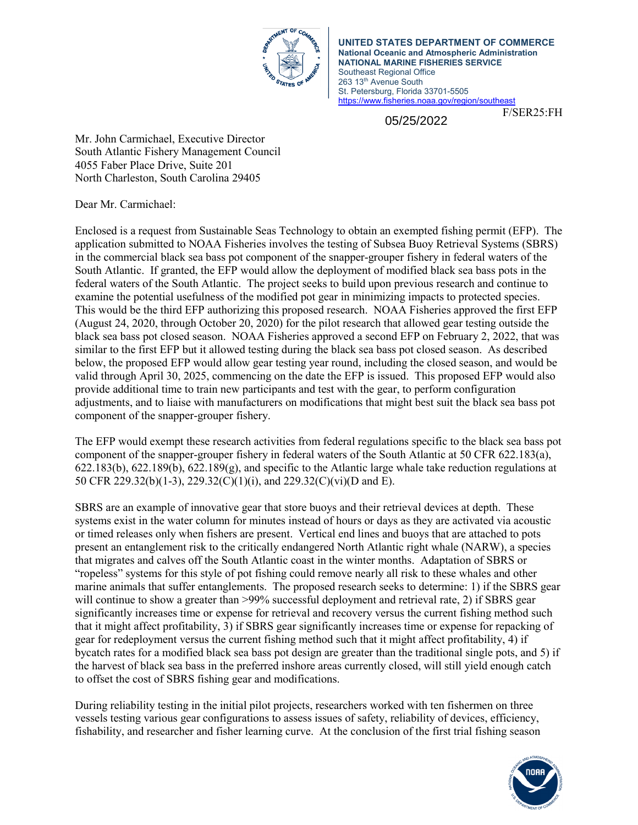

**UNITED STATES DEPARTMENT OF COMMERCE National Oceanic and Atmospheric Administration NATIONAL MARINE FISHERIES SERVICE** Southeast Regional Office 263 13th Avenue South St. Petersburg, Florida 33701-5505 <https://www.fisheries.noaa.gov/region/southeast>

05/25/2022

F/SER25:FH

Mr. John Carmichael, Executive Director South Atlantic Fishery Management Council 4055 Faber Place Drive, Suite 201 North Charleston, South Carolina 29405

Dear Mr. Carmichael:

Enclosed is a request from Sustainable Seas Technology to obtain an exempted fishing permit (EFP). The application submitted to NOAA Fisheries involves the testing of Subsea Buoy Retrieval Systems (SBRS) in the commercial black sea bass pot component of the snapper-grouper fishery in federal waters of the South Atlantic. If granted, the EFP would allow the deployment of modified black sea bass pots in the federal waters of the South Atlantic. The project seeks to build upon previous research and continue to examine the potential usefulness of the modified pot gear in minimizing impacts to protected species. This would be the third EFP authorizing this proposed research. NOAA Fisheries approved the first EFP (August 24, 2020, through October 20, 2020) for the pilot research that allowed gear testing outside the black sea bass pot closed season. NOAA Fisheries approved a second EFP on February 2, 2022, that was similar to the first EFP but it allowed testing during the black sea bass pot closed season. As described below, the proposed EFP would allow gear testing year round, including the closed season, and would be valid through April 30, 2025, commencing on the date the EFP is issued. This proposed EFP would also provide additional time to train new participants and test with the gear, to perform configuration adjustments, and to liaise with manufacturers on modifications that might best suit the black sea bass pot component of the snapper-grouper fishery.

The EFP would exempt these research activities from federal regulations specific to the black sea bass pot component of the snapper-grouper fishery in federal waters of the South Atlantic at 50 CFR 622.183(a),  $622.183(b)$ ,  $622.189(b)$ ,  $622.189(g)$ , and specific to the Atlantic large whale take reduction regulations at 50 CFR 229.32(b)(1-3), 229.32(C)(1)(i), and 229.32(C)(vi)(D and E).

SBRS are an example of innovative gear that store buoys and their retrieval devices at depth. These systems exist in the water column for minutes instead of hours or days as they are activated via acoustic or timed releases only when fishers are present. Vertical end lines and buoys that are attached to pots present an entanglement risk to the critically endangered North Atlantic right whale (NARW), a species that migrates and calves off the South Atlantic coast in the winter months. Adaptation of SBRS or "ropeless" systems for this style of pot fishing could remove nearly all risk to these whales and other marine animals that suffer entanglements. The proposed research seeks to determine: 1) if the SBRS gear will continue to show a greater than >99% successful deployment and retrieval rate, 2) if SBRS gear significantly increases time or expense for retrieval and recovery versus the current fishing method such that it might affect profitability, 3) if SBRS gear significantly increases time or expense for repacking of gear for redeployment versus the current fishing method such that it might affect profitability, 4) if bycatch rates for a modified black sea bass pot design are greater than the traditional single pots, and 5) if the harvest of black sea bass in the preferred inshore areas currently closed, will still yield enough catch to offset the cost of SBRS fishing gear and modifications.

During reliability testing in the initial pilot projects, researchers worked with ten fishermen on three vessels testing various gear configurations to assess issues of safety, reliability of devices, efficiency, fishability, and researcher and fisher learning curve. At the conclusion of the first trial fishing season